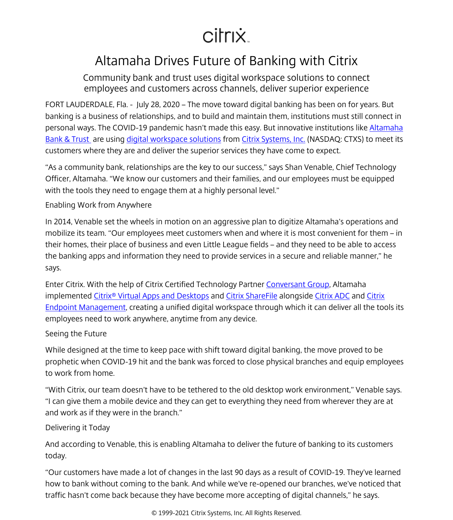## citrix.

## Altamaha Drives Future of Banking with Citrix

Community bank and trust uses digital workspace solutions to connect employees and customers across channels, deliver superior experience

FORT LAUDERDALE, Fla. - July 28, 2020 – The move toward digital banking has been on for years. But banking is a business of relationships, and to build and maintain them, institutions must still connect in personal ways. The COVID-19 pandemic hasn't made this easy. But innovative institutions like [Altamaha](https://www.altamaha.bank/) [Bank & Trust](https://www.altamaha.bank/)  are using [digital workspace solutions](/content/citrix/en-gb/products.html) from [Citrix Systems, Inc.](/content/citrix/en-gb/
            .html) (NASDAQ: CTXS) to meet its customers where they are and deliver the superior services they have come to expect.

"As a community bank, relationships are the key to our success," says Shan Venable, Chief Technology Officer, Altamaha. "We know our customers and their families, and our employees must be equipped with the tools they need to engage them at a highly personal level."

Enabling Work from Anywhere

In 2014, Venable set the wheels in motion on an aggressive plan to digitize Altamaha's operations and mobilize its team. "Our employees meet customers when and where it is most convenient for them – in their homes, their place of business and even Little League fields – and they need to be able to access the banking apps and information they need to provide services in a secure and reliable manner," he says.

Enter Citrix. With the help of Citrix Certified Technology Partner [Conversant Group](https://www.conversantgroup.com/), Altamaha implemented [Citrix® Virtual Apps and Desktops](/content/citrix/en-gb/products/citrix-virtual-apps-and-desktops/
            .html) and [Citrix ShareFile](/content/citrix/en-gb/lp/sharefile/
            .html) alongside [Citrix ADC](/content/citrix/en-gb/products/citrix-adc/
            .html) and [Citrix](/content/citrix/en-gb/products/citrix-endpoint-management/
            .html) [Endpoint Management,](/content/citrix/en-gb/products/citrix-endpoint-management/
            .html) creating a unified digital workspace through which it can deliver all the tools its employees need to work anywhere, anytime from any device.

Seeing the Future

While designed at the time to keep pace with shift toward digital banking, the move proved to be prophetic when COVID-19 hit and the bank was forced to close physical branches and equip employees to work from home.

"With Citrix, our team doesn't have to be tethered to the old desktop work environment," Venable says. "I can give them a mobile device and they can get to everything they need from wherever they are at and work as if they were in the branch."

Delivering it Today

And according to Venable, this is enabling Altamaha to deliver the future of banking to its customers today.

"Our customers have made a lot of changes in the last 90 days as a result of COVID-19. They've learned how to bank without coming to the bank. And while we've re-opened our branches, we've noticed that traffic hasn't come back because they have become more accepting of digital channels," he says.

© 1999-2021 Citrix Systems, Inc. All Rights Reserved.